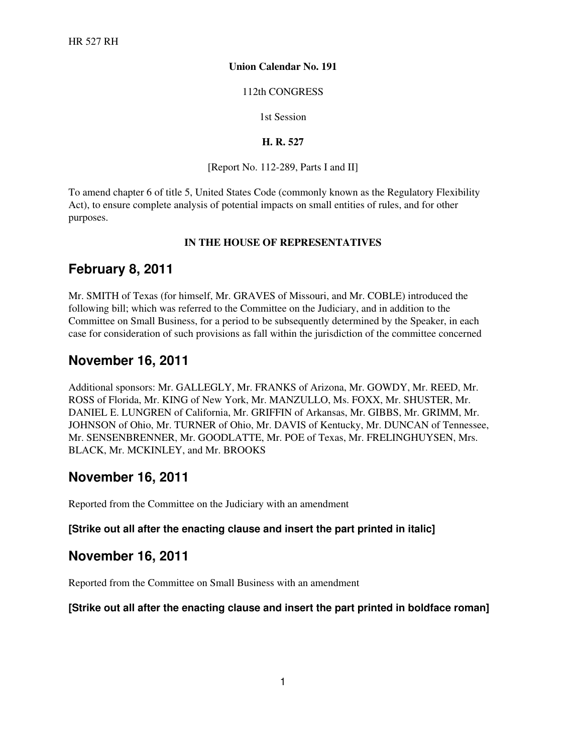#### **Union Calendar No. 191**

#### 112th CONGRESS

1st Session

#### **H. R. 527**

[Report No. 112-289, Parts I and II]

To amend chapter 6 of title 5, United States Code (commonly known as the Regulatory Flexibility Act), to ensure complete analysis of potential impacts on small entities of rules, and for other purposes.

#### **IN THE HOUSE OF REPRESENTATIVES**

### **February 8, 2011**

Mr. SMITH of Texas (for himself, Mr. GRAVES of Missouri, and Mr. COBLE) introduced the following bill; which was referred to the Committee on the Judiciary, and in addition to the Committee on Small Business, for a period to be subsequently determined by the Speaker, in each case for consideration of such provisions as fall within the jurisdiction of the committee concerned

### **November 16, 2011**

Additional sponsors: Mr. GALLEGLY, Mr. FRANKS of Arizona, Mr. GOWDY, Mr. REED, Mr. ROSS of Florida, Mr. KING of New York, Mr. MANZULLO, Ms. FOXX, Mr. SHUSTER, Mr. DANIEL E. LUNGREN of California, Mr. GRIFFIN of Arkansas, Mr. GIBBS, Mr. GRIMM, Mr. JOHNSON of Ohio, Mr. TURNER of Ohio, Mr. DAVIS of Kentucky, Mr. DUNCAN of Tennessee, Mr. SENSENBRENNER, Mr. GOODLATTE, Mr. POE of Texas, Mr. FRELINGHUYSEN, Mrs. BLACK, Mr. MCKINLEY, and Mr. BROOKS

### **November 16, 2011**

Reported from the Committee on the Judiciary with an amendment

#### **[Strike out all after the enacting clause and insert the part printed in italic]**

### **November 16, 2011**

Reported from the Committee on Small Business with an amendment

### **[Strike out all after the enacting clause and insert the part printed in boldface roman]**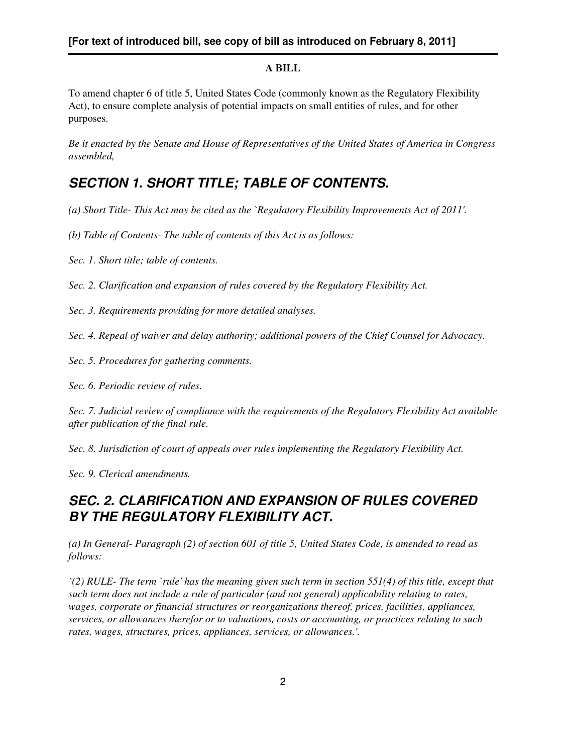### **A BILL**

To amend chapter 6 of title 5, United States Code (commonly known as the Regulatory Flexibility Act), to ensure complete analysis of potential impacts on small entities of rules, and for other purposes.

*Be it enacted by the Senate and House of Representatives of the United States of America in Congress assembled,*

## *SECTION 1. SHORT TITLE; TABLE OF CONTENTS.*

- *(a) Short Title- This Act may be cited as the `Regulatory Flexibility Improvements Act of 2011'.*
- *(b) Table of Contents- The table of contents of this Act is as follows:*
- *Sec. 1. Short title; table of contents.*

*Sec. 2. Clarification and expansion of rules covered by the Regulatory Flexibility Act.*

*Sec. 3. Requirements providing for more detailed analyses.*

*Sec. 4. Repeal of waiver and delay authority; additional powers of the Chief Counsel for Advocacy.*

*Sec. 5. Procedures for gathering comments.*

*Sec. 6. Periodic review of rules.*

*Sec. 7. Judicial review of compliance with the requirements of the Regulatory Flexibility Act available after publication of the final rule.*

*Sec. 8. Jurisdiction of court of appeals over rules implementing the Regulatory Flexibility Act.*

*Sec. 9. Clerical amendments.*

## *SEC. 2. CLARIFICATION AND EXPANSION OF RULES COVERED BY THE REGULATORY FLEXIBILITY ACT.*

*(a) In General- Paragraph (2) of section 601 of title 5, United States Code, is amended to read as follows:*

*`(2) RULE- The term `rule' has the meaning given such term in section 551(4) of this title, except that such term does not include a rule of particular (and not general) applicability relating to rates, wages, corporate or financial structures or reorganizations thereof, prices, facilities, appliances, services, or allowances therefor or to valuations, costs or accounting, or practices relating to such rates, wages, structures, prices, appliances, services, or allowances.'.*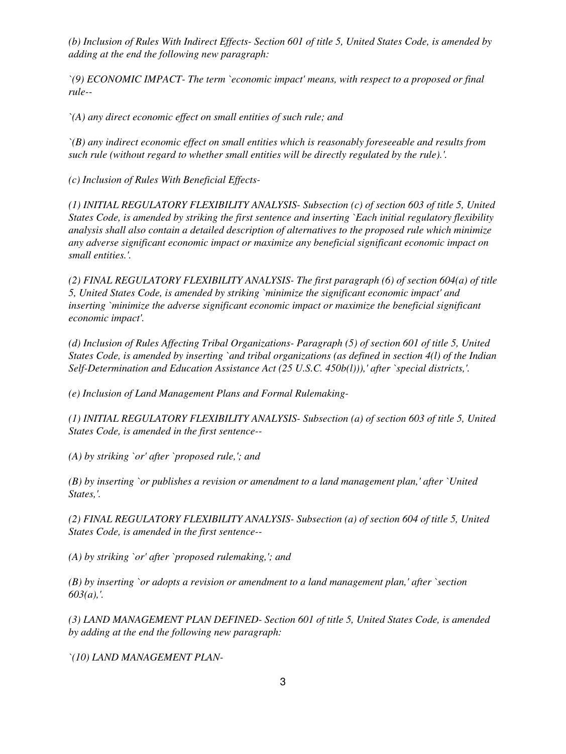*(b) Inclusion of Rules With Indirect Effects- Section 601 of title 5, United States Code, is amended by adding at the end the following new paragraph:*

*`(9) ECONOMIC IMPACT- The term `economic impact' means, with respect to a proposed or final rule--*

*`(A) any direct economic effect on small entities of such rule; and*

*`(B) any indirect economic effect on small entities which is reasonably foreseeable and results from such rule (without regard to whether small entities will be directly regulated by the rule).'.*

*(c) Inclusion of Rules With Beneficial Effects-*

*(1) INITIAL REGULATORY FLEXIBILITY ANALYSIS- Subsection (c) of section 603 of title 5, United States Code, is amended by striking the first sentence and inserting `Each initial regulatory flexibility analysis shall also contain a detailed description of alternatives to the proposed rule which minimize any adverse significant economic impact or maximize any beneficial significant economic impact on small entities.'.*

*(2) FINAL REGULATORY FLEXIBILITY ANALYSIS- The first paragraph (6) of section 604(a) of title 5, United States Code, is amended by striking `minimize the significant economic impact' and inserting `minimize the adverse significant economic impact or maximize the beneficial significant economic impact'.*

*(d) Inclusion of Rules Affecting Tribal Organizations- Paragraph (5) of section 601 of title 5, United States Code, is amended by inserting `and tribal organizations (as defined in section 4(l) of the Indian Self-Determination and Education Assistance Act (25 U.S.C. 450b(l))),' after `special districts,'.*

*(e) Inclusion of Land Management Plans and Formal Rulemaking-*

*(1) INITIAL REGULATORY FLEXIBILITY ANALYSIS- Subsection (a) of section 603 of title 5, United States Code, is amended in the first sentence--*

*(A) by striking `or' after `proposed rule,'; and*

*(B) by inserting `or publishes a revision or amendment to a land management plan,' after `United States,'.*

*(2) FINAL REGULATORY FLEXIBILITY ANALYSIS- Subsection (a) of section 604 of title 5, United States Code, is amended in the first sentence--*

*(A) by striking `or' after `proposed rulemaking,'; and*

*(B) by inserting `or adopts a revision or amendment to a land management plan,' after `section 603(a),'.*

*(3) LAND MANAGEMENT PLAN DEFINED- Section 601 of title 5, United States Code, is amended by adding at the end the following new paragraph:*

*`(10) LAND MANAGEMENT PLAN-*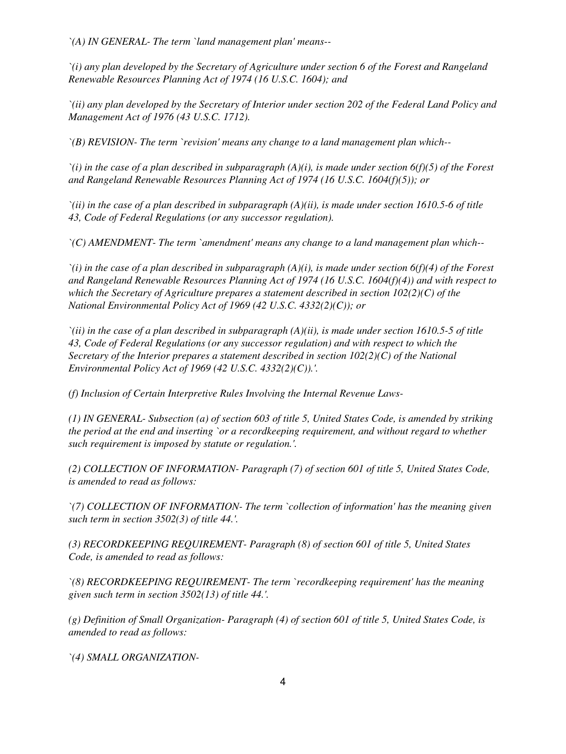*`(A) IN GENERAL- The term `land management plan' means--*

*`(i) any plan developed by the Secretary of Agriculture under section 6 of the Forest and Rangeland Renewable Resources Planning Act of 1974 (16 U.S.C. 1604); and*

*`(ii) any plan developed by the Secretary of Interior under section 202 of the Federal Land Policy and Management Act of 1976 (43 U.S.C. 1712).*

*`(B) REVISION- The term `revision' means any change to a land management plan which--*

*`(i) in the case of a plan described in subparagraph (A)(i), is made under section 6(f)(5) of the Forest and Rangeland Renewable Resources Planning Act of 1974 (16 U.S.C. 1604(f)(5)); or*

*`(ii) in the case of a plan described in subparagraph (A)(ii), is made under section 1610.5-6 of title 43, Code of Federal Regulations (or any successor regulation).*

*`(C) AMENDMENT- The term `amendment' means any change to a land management plan which--*

*`(i) in the case of a plan described in subparagraph (A)(i), is made under section 6(f)(4) of the Forest and Rangeland Renewable Resources Planning Act of 1974 (16 U.S.C. 1604(f)(4)) and with respect to which the Secretary of Agriculture prepares a statement described in section 102(2)(C) of the National Environmental Policy Act of 1969 (42 U.S.C. 4332(2)(C)); or*

*`(ii) in the case of a plan described in subparagraph (A)(ii), is made under section 1610.5-5 of title 43, Code of Federal Regulations (or any successor regulation) and with respect to which the Secretary of the Interior prepares a statement described in section 102(2)(C) of the National Environmental Policy Act of 1969 (42 U.S.C. 4332(2)(C)).'.*

*(f) Inclusion of Certain Interpretive Rules Involving the Internal Revenue Laws-*

*(1) IN GENERAL- Subsection (a) of section 603 of title 5, United States Code, is amended by striking the period at the end and inserting `or a recordkeeping requirement, and without regard to whether such requirement is imposed by statute or regulation.'.*

*(2) COLLECTION OF INFORMATION- Paragraph (7) of section 601 of title 5, United States Code, is amended to read as follows:*

*`(7) COLLECTION OF INFORMATION- The term `collection of information' has the meaning given such term in section 3502(3) of title 44.'.*

*(3) RECORDKEEPING REQUIREMENT- Paragraph (8) of section 601 of title 5, United States Code, is amended to read as follows:*

*`(8) RECORDKEEPING REQUIREMENT- The term `recordkeeping requirement' has the meaning given such term in section 3502(13) of title 44.'.*

*(g) Definition of Small Organization- Paragraph (4) of section 601 of title 5, United States Code, is amended to read as follows:*

*`(4) SMALL ORGANIZATION-*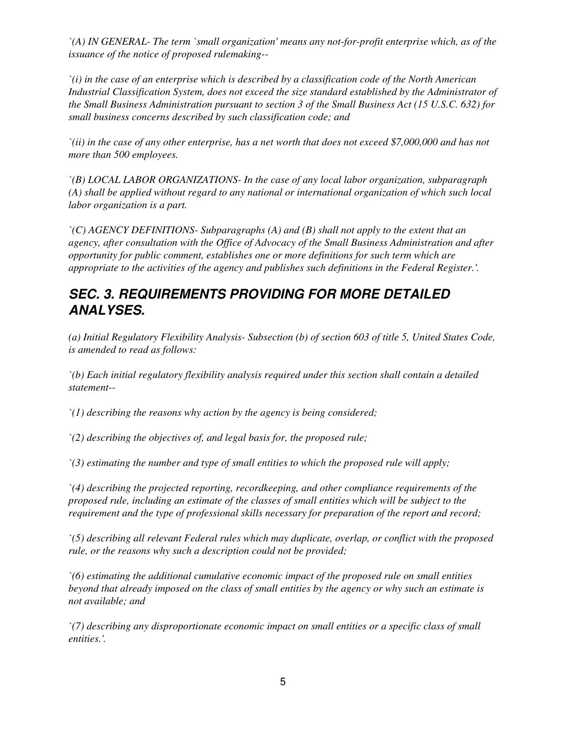*`(A) IN GENERAL- The term `small organization' means any not-for-profit enterprise which, as of the issuance of the notice of proposed rulemaking--*

*`(i) in the case of an enterprise which is described by a classification code of the North American Industrial Classification System, does not exceed the size standard established by the Administrator of the Small Business Administration pursuant to section 3 of the Small Business Act (15 U.S.C. 632) for small business concerns described by such classification code; and*

*`(ii) in the case of any other enterprise, has a net worth that does not exceed \$7,000,000 and has not more than 500 employees.*

*`(B) LOCAL LABOR ORGANIZATIONS- In the case of any local labor organization, subparagraph (A) shall be applied without regard to any national or international organization of which such local labor organization is a part.*

*`(C) AGENCY DEFINITIONS- Subparagraphs (A) and (B) shall not apply to the extent that an agency, after consultation with the Office of Advocacy of the Small Business Administration and after opportunity for public comment, establishes one or more definitions for such term which are appropriate to the activities of the agency and publishes such definitions in the Federal Register.'.*

## *SEC. 3. REQUIREMENTS PROVIDING FOR MORE DETAILED ANALYSES.*

*(a) Initial Regulatory Flexibility Analysis- Subsection (b) of section 603 of title 5, United States Code, is amended to read as follows:*

*`(b) Each initial regulatory flexibility analysis required under this section shall contain a detailed statement--*

*`(1) describing the reasons why action by the agency is being considered;*

*`(2) describing the objectives of, and legal basis for, the proposed rule;*

*`(3) estimating the number and type of small entities to which the proposed rule will apply;*

*`(4) describing the projected reporting, recordkeeping, and other compliance requirements of the proposed rule, including an estimate of the classes of small entities which will be subject to the requirement and the type of professional skills necessary for preparation of the report and record;*

*`(5) describing all relevant Federal rules which may duplicate, overlap, or conflict with the proposed rule, or the reasons why such a description could not be provided;*

*`(6) estimating the additional cumulative economic impact of the proposed rule on small entities beyond that already imposed on the class of small entities by the agency or why such an estimate is not available; and*

*`(7) describing any disproportionate economic impact on small entities or a specific class of small entities.'.*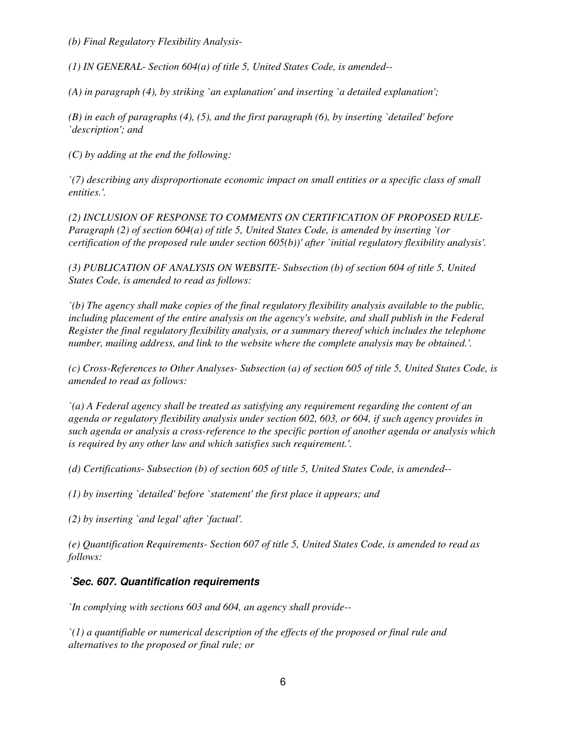*(b) Final Regulatory Flexibility Analysis-*

*(1) IN GENERAL- Section 604(a) of title 5, United States Code, is amended--*

*(A) in paragraph (4), by striking `an explanation' and inserting `a detailed explanation';*

*(B) in each of paragraphs (4), (5), and the first paragraph (6), by inserting `detailed' before `description'; and*

*(C) by adding at the end the following:*

*`(7) describing any disproportionate economic impact on small entities or a specific class of small entities.'.*

*(2) INCLUSION OF RESPONSE TO COMMENTS ON CERTIFICATION OF PROPOSED RULE-Paragraph (2) of section 604(a) of title 5, United States Code, is amended by inserting `(or certification of the proposed rule under section 605(b))' after `initial regulatory flexibility analysis'.*

*(3) PUBLICATION OF ANALYSIS ON WEBSITE- Subsection (b) of section 604 of title 5, United States Code, is amended to read as follows:*

*`(b) The agency shall make copies of the final regulatory flexibility analysis available to the public, including placement of the entire analysis on the agency's website, and shall publish in the Federal Register the final regulatory flexibility analysis, or a summary thereof which includes the telephone number, mailing address, and link to the website where the complete analysis may be obtained.'.*

*(c) Cross-References to Other Analyses- Subsection (a) of section 605 of title 5, United States Code, is amended to read as follows:*

*`(a) A Federal agency shall be treated as satisfying any requirement regarding the content of an agenda or regulatory flexibility analysis under section 602, 603, or 604, if such agency provides in such agenda or analysis a cross-reference to the specific portion of another agenda or analysis which is required by any other law and which satisfies such requirement.'.*

*(d) Certifications- Subsection (b) of section 605 of title 5, United States Code, is amended--*

*(1) by inserting `detailed' before `statement' the first place it appears; and*

*(2) by inserting `and legal' after `factual'.*

*(e) Quantification Requirements- Section 607 of title 5, United States Code, is amended to read as follows:*

#### *`Sec. 607. Quantification requirements*

*`In complying with sections 603 and 604, an agency shall provide--*

*`(1) a quantifiable or numerical description of the effects of the proposed or final rule and alternatives to the proposed or final rule; or*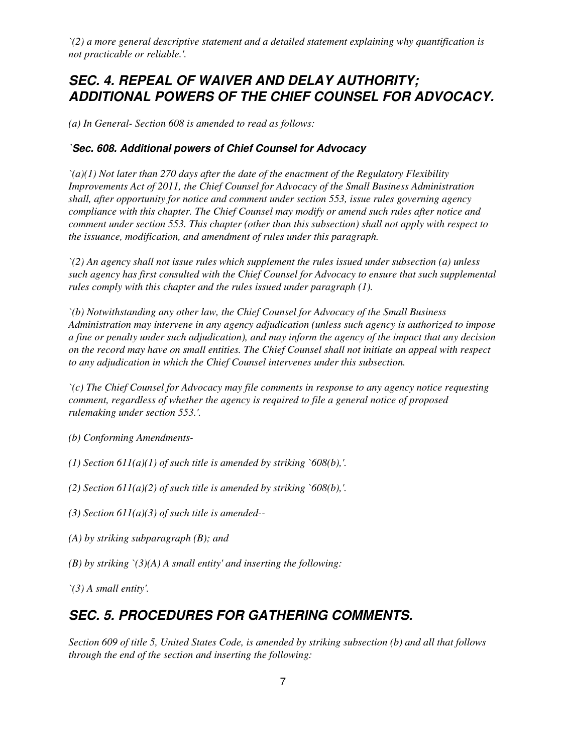*`(2) a more general descriptive statement and a detailed statement explaining why quantification is not practicable or reliable.'.*

## *SEC. 4. REPEAL OF WAIVER AND DELAY AUTHORITY; ADDITIONAL POWERS OF THE CHIEF COUNSEL FOR ADVOCACY.*

*(a) In General- Section 608 is amended to read as follows:*

#### *`Sec. 608. Additional powers of Chief Counsel for Advocacy*

*`(a)(1) Not later than 270 days after the date of the enactment of the Regulatory Flexibility Improvements Act of 2011, the Chief Counsel for Advocacy of the Small Business Administration shall, after opportunity for notice and comment under section 553, issue rules governing agency compliance with this chapter. The Chief Counsel may modify or amend such rules after notice and comment under section 553. This chapter (other than this subsection) shall not apply with respect to the issuance, modification, and amendment of rules under this paragraph.*

*`(2) An agency shall not issue rules which supplement the rules issued under subsection (a) unless such agency has first consulted with the Chief Counsel for Advocacy to ensure that such supplemental rules comply with this chapter and the rules issued under paragraph (1).*

*`(b) Notwithstanding any other law, the Chief Counsel for Advocacy of the Small Business Administration may intervene in any agency adjudication (unless such agency is authorized to impose a fine or penalty under such adjudication), and may inform the agency of the impact that any decision on the record may have on small entities. The Chief Counsel shall not initiate an appeal with respect to any adjudication in which the Chief Counsel intervenes under this subsection.*

*`(c) The Chief Counsel for Advocacy may file comments in response to any agency notice requesting comment, regardless of whether the agency is required to file a general notice of proposed rulemaking under section 553.'.*

*(b) Conforming Amendments-*

*(1) Section 611(a)(1) of such title is amended by striking `608(b),'.*

*(2) Section 611(a)(2) of such title is amended by striking `608(b),'.*

*(3) Section 611(a)(3) of such title is amended--*

- *(A) by striking subparagraph (B); and*
- *(B) by striking `(3)(A) A small entity' and inserting the following:*

*`(3) A small entity'.*

### *SEC. 5. PROCEDURES FOR GATHERING COMMENTS.*

*Section 609 of title 5, United States Code, is amended by striking subsection (b) and all that follows through the end of the section and inserting the following:*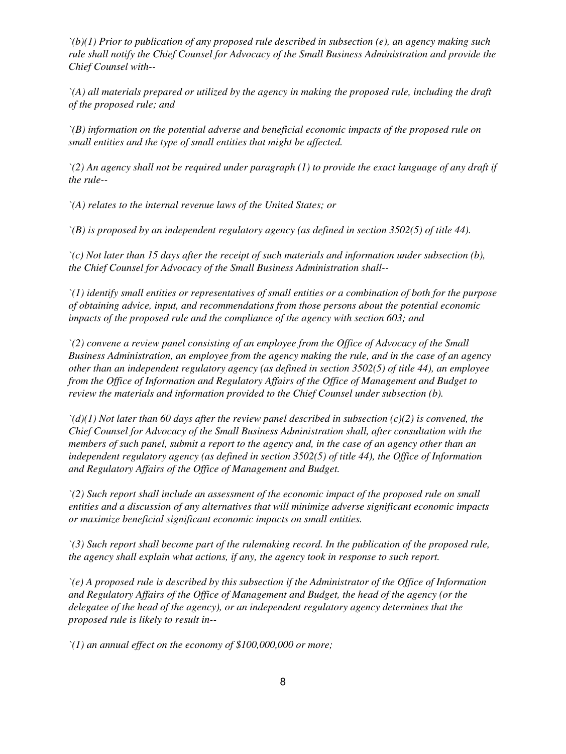*`(b)(1) Prior to publication of any proposed rule described in subsection (e), an agency making such rule shall notify the Chief Counsel for Advocacy of the Small Business Administration and provide the Chief Counsel with--*

*`(A) all materials prepared or utilized by the agency in making the proposed rule, including the draft of the proposed rule; and*

*`(B) information on the potential adverse and beneficial economic impacts of the proposed rule on small entities and the type of small entities that might be affected.*

*`(2) An agency shall not be required under paragraph (1) to provide the exact language of any draft if the rule--*

*`(A) relates to the internal revenue laws of the United States; or*

*`(B) is proposed by an independent regulatory agency (as defined in section 3502(5) of title 44).*

*`(c) Not later than 15 days after the receipt of such materials and information under subsection (b), the Chief Counsel for Advocacy of the Small Business Administration shall--*

*`(1) identify small entities or representatives of small entities or a combination of both for the purpose of obtaining advice, input, and recommendations from those persons about the potential economic impacts of the proposed rule and the compliance of the agency with section 603; and*

*`(2) convene a review panel consisting of an employee from the Office of Advocacy of the Small Business Administration, an employee from the agency making the rule, and in the case of an agency other than an independent regulatory agency (as defined in section 3502(5) of title 44), an employee from the Office of Information and Regulatory Affairs of the Office of Management and Budget to review the materials and information provided to the Chief Counsel under subsection (b).*

*`(d)(1) Not later than 60 days after the review panel described in subsection (c)(2) is convened, the Chief Counsel for Advocacy of the Small Business Administration shall, after consultation with the members of such panel, submit a report to the agency and, in the case of an agency other than an independent regulatory agency (as defined in section 3502(5) of title 44), the Office of Information and Regulatory Affairs of the Office of Management and Budget.*

*`(2) Such report shall include an assessment of the economic impact of the proposed rule on small entities and a discussion of any alternatives that will minimize adverse significant economic impacts or maximize beneficial significant economic impacts on small entities.*

*`(3) Such report shall become part of the rulemaking record. In the publication of the proposed rule, the agency shall explain what actions, if any, the agency took in response to such report.*

*`(e) A proposed rule is described by this subsection if the Administrator of the Office of Information and Regulatory Affairs of the Office of Management and Budget, the head of the agency (or the delegatee of the head of the agency), or an independent regulatory agency determines that the proposed rule is likely to result in--*

*`(1) an annual effect on the economy of \$100,000,000 or more;*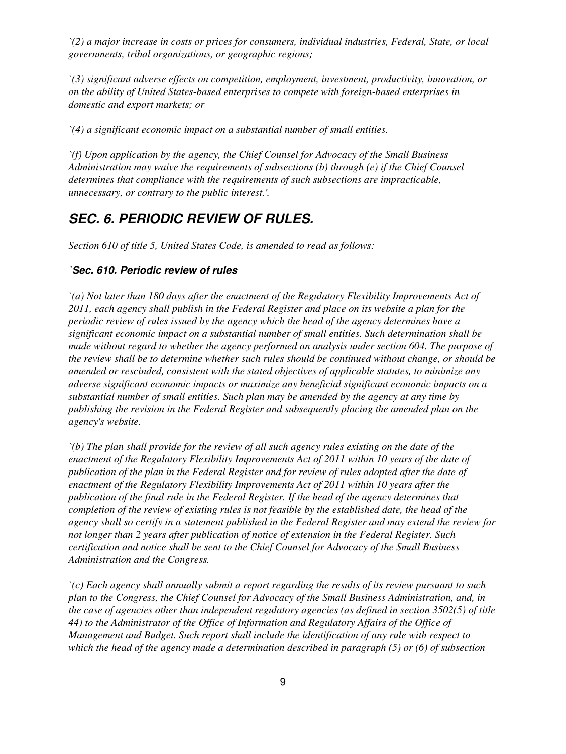*`(2) a major increase in costs or prices for consumers, individual industries, Federal, State, or local governments, tribal organizations, or geographic regions;*

*`(3) significant adverse effects on competition, employment, investment, productivity, innovation, or on the ability of United States-based enterprises to compete with foreign-based enterprises in domestic and export markets; or*

*`(4) a significant economic impact on a substantial number of small entities.*

*`(f) Upon application by the agency, the Chief Counsel for Advocacy of the Small Business Administration may waive the requirements of subsections (b) through (e) if the Chief Counsel determines that compliance with the requirements of such subsections are impracticable, unnecessary, or contrary to the public interest.'.*

### *SEC. 6. PERIODIC REVIEW OF RULES.*

*Section 610 of title 5, United States Code, is amended to read as follows:*

#### *`Sec. 610. Periodic review of rules*

*`(a) Not later than 180 days after the enactment of the Regulatory Flexibility Improvements Act of 2011, each agency shall publish in the Federal Register and place on its website a plan for the periodic review of rules issued by the agency which the head of the agency determines have a significant economic impact on a substantial number of small entities. Such determination shall be made without regard to whether the agency performed an analysis under section 604. The purpose of the review shall be to determine whether such rules should be continued without change, or should be amended or rescinded, consistent with the stated objectives of applicable statutes, to minimize any adverse significant economic impacts or maximize any beneficial significant economic impacts on a substantial number of small entities. Such plan may be amended by the agency at any time by publishing the revision in the Federal Register and subsequently placing the amended plan on the agency's website.*

*`(b) The plan shall provide for the review of all such agency rules existing on the date of the enactment of the Regulatory Flexibility Improvements Act of 2011 within 10 years of the date of publication of the plan in the Federal Register and for review of rules adopted after the date of enactment of the Regulatory Flexibility Improvements Act of 2011 within 10 years after the publication of the final rule in the Federal Register. If the head of the agency determines that completion of the review of existing rules is not feasible by the established date, the head of the agency shall so certify in a statement published in the Federal Register and may extend the review for not longer than 2 years after publication of notice of extension in the Federal Register. Such certification and notice shall be sent to the Chief Counsel for Advocacy of the Small Business Administration and the Congress.*

*`(c) Each agency shall annually submit a report regarding the results of its review pursuant to such plan to the Congress, the Chief Counsel for Advocacy of the Small Business Administration, and, in the case of agencies other than independent regulatory agencies (as defined in section 3502(5) of title 44) to the Administrator of the Office of Information and Regulatory Affairs of the Office of Management and Budget. Such report shall include the identification of any rule with respect to which the head of the agency made a determination described in paragraph (5) or (6) of subsection*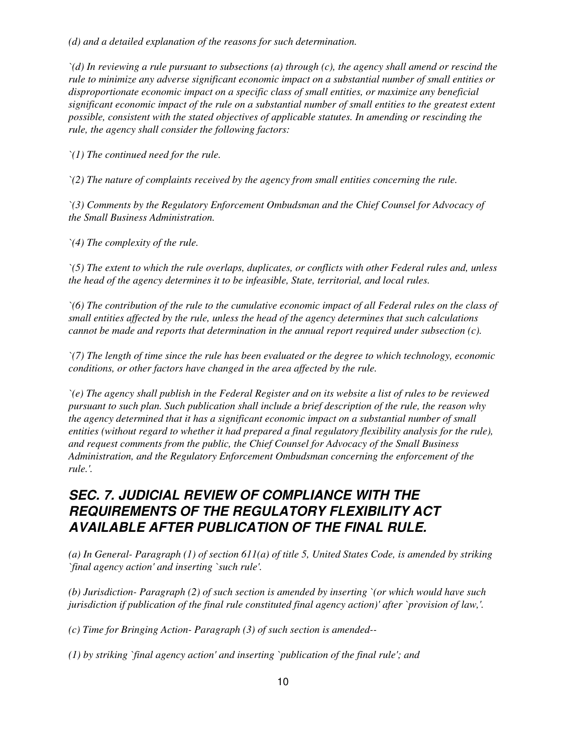*(d) and a detailed explanation of the reasons for such determination.*

*`(d) In reviewing a rule pursuant to subsections (a) through (c), the agency shall amend or rescind the rule to minimize any adverse significant economic impact on a substantial number of small entities or disproportionate economic impact on a specific class of small entities, or maximize any beneficial significant economic impact of the rule on a substantial number of small entities to the greatest extent possible, consistent with the stated objectives of applicable statutes. In amending or rescinding the rule, the agency shall consider the following factors:*

*`(1) The continued need for the rule.*

*`(2) The nature of complaints received by the agency from small entities concerning the rule.*

*`(3) Comments by the Regulatory Enforcement Ombudsman and the Chief Counsel for Advocacy of the Small Business Administration.*

*`(4) The complexity of the rule.*

*`(5) The extent to which the rule overlaps, duplicates, or conflicts with other Federal rules and, unless the head of the agency determines it to be infeasible, State, territorial, and local rules.*

*`(6) The contribution of the rule to the cumulative economic impact of all Federal rules on the class of small entities affected by the rule, unless the head of the agency determines that such calculations cannot be made and reports that determination in the annual report required under subsection (c).*

*`(7) The length of time since the rule has been evaluated or the degree to which technology, economic conditions, or other factors have changed in the area affected by the rule.*

*`(e) The agency shall publish in the Federal Register and on its website a list of rules to be reviewed pursuant to such plan. Such publication shall include a brief description of the rule, the reason why the agency determined that it has a significant economic impact on a substantial number of small entities (without regard to whether it had prepared a final regulatory flexibility analysis for the rule), and request comments from the public, the Chief Counsel for Advocacy of the Small Business Administration, and the Regulatory Enforcement Ombudsman concerning the enforcement of the rule.'.*

## *SEC. 7. JUDICIAL REVIEW OF COMPLIANCE WITH THE REQUIREMENTS OF THE REGULATORY FLEXIBILITY ACT AVAILABLE AFTER PUBLICATION OF THE FINAL RULE.*

*(a) In General- Paragraph (1) of section 611(a) of title 5, United States Code, is amended by striking `final agency action' and inserting `such rule'.*

*(b) Jurisdiction- Paragraph (2) of such section is amended by inserting `(or which would have such jurisdiction if publication of the final rule constituted final agency action)' after `provision of law,'.*

*(c) Time for Bringing Action- Paragraph (3) of such section is amended--*

*(1) by striking `final agency action' and inserting `publication of the final rule'; and*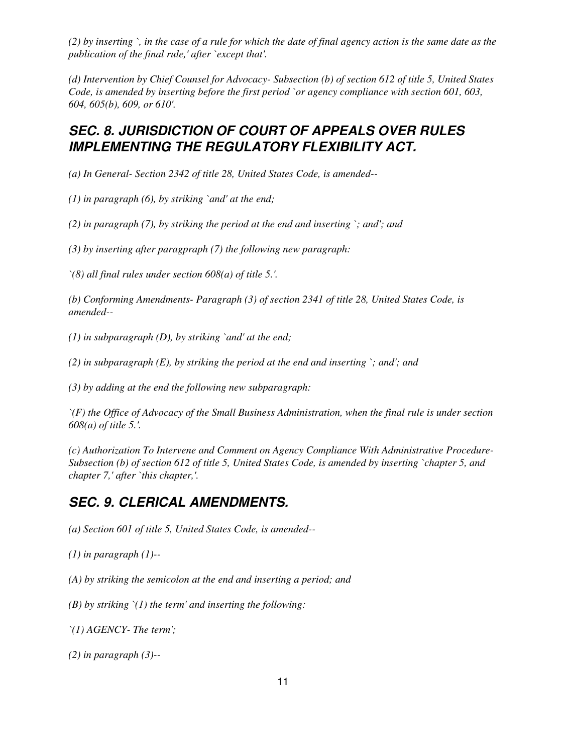*(2) by inserting `, in the case of a rule for which the date of final agency action is the same date as the publication of the final rule,' after `except that'.*

*(d) Intervention by Chief Counsel for Advocacy- Subsection (b) of section 612 of title 5, United States Code, is amended by inserting before the first period `or agency compliance with section 601, 603, 604, 605(b), 609, or 610'.*

### *SEC. 8. JURISDICTION OF COURT OF APPEALS OVER RULES IMPLEMENTING THE REGULATORY FLEXIBILITY ACT.*

*(a) In General- Section 2342 of title 28, United States Code, is amended--*

*(1) in paragraph (6), by striking `and' at the end;*

*(2) in paragraph (7), by striking the period at the end and inserting `; and'; and*

*(3) by inserting after paragpraph (7) the following new paragraph:*

*`(8) all final rules under section 608(a) of title 5.'.*

*(b) Conforming Amendments- Paragraph (3) of section 2341 of title 28, United States Code, is amended--*

*(1) in subparagraph (D), by striking `and' at the end;*

*(2) in subparagraph (E), by striking the period at the end and inserting `; and'; and*

*(3) by adding at the end the following new subparagraph:*

*`(F) the Office of Advocacy of the Small Business Administration, when the final rule is under section 608(a) of title 5.'.*

*(c) Authorization To Intervene and Comment on Agency Compliance With Administrative Procedure-Subsection (b) of section 612 of title 5, United States Code, is amended by inserting `chapter 5, and chapter 7,' after `this chapter,'.*

### *SEC. 9. CLERICAL AMENDMENTS.*

*(a) Section 601 of title 5, United States Code, is amended--*

*(1) in paragraph (1)--*

*(A) by striking the semicolon at the end and inserting a period; and*

*(B) by striking `(1) the term' and inserting the following:*

*`(1) AGENCY- The term';*

*(2) in paragraph (3)--*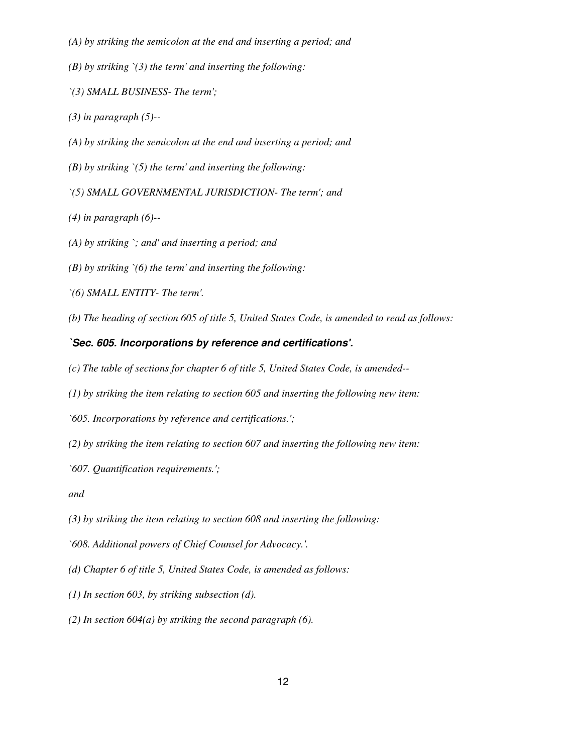- *(A) by striking the semicolon at the end and inserting a period; and*
- *(B) by striking `(3) the term' and inserting the following:*
- *`(3) SMALL BUSINESS- The term';*
- *(3) in paragraph (5)--*
- *(A) by striking the semicolon at the end and inserting a period; and*
- *(B) by striking `(5) the term' and inserting the following:*
- *`(5) SMALL GOVERNMENTAL JURISDICTION- The term'; and*
- *(4) in paragraph (6)--*
- *(A) by striking `; and' and inserting a period; and*
- *(B) by striking `(6) the term' and inserting the following:*
- *`(6) SMALL ENTITY- The term'.*
- *(b) The heading of section 605 of title 5, United States Code, is amended to read as follows:*

#### *`Sec. 605. Incorporations by reference and certifications'.*

- *(c) The table of sections for chapter 6 of title 5, United States Code, is amended--*
- *(1) by striking the item relating to section 605 and inserting the following new item:*
- *`605. Incorporations by reference and certifications.';*
- *(2) by striking the item relating to section 607 and inserting the following new item:*
- *`607. Quantification requirements.';*
- *and*
- *(3) by striking the item relating to section 608 and inserting the following:*
- *`608. Additional powers of Chief Counsel for Advocacy.'.*
- *(d) Chapter 6 of title 5, United States Code, is amended as follows:*
- *(1) In section 603, by striking subsection (d).*
- *(2) In section 604(a) by striking the second paragraph (6).*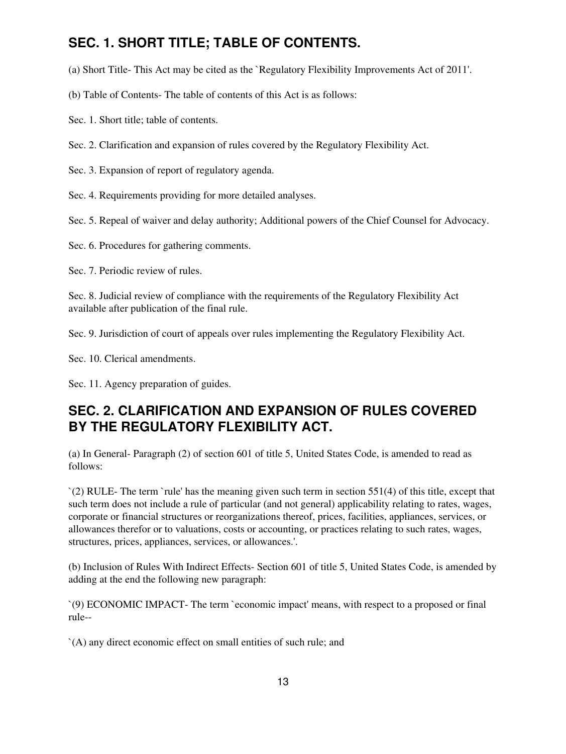# **SEC. 1. SHORT TITLE; TABLE OF CONTENTS.**

(a) Short Title- This Act may be cited as the `Regulatory Flexibility Improvements Act of 2011'.

(b) Table of Contents- The table of contents of this Act is as follows:

Sec. 1. Short title; table of contents.

Sec. 2. Clarification and expansion of rules covered by the Regulatory Flexibility Act.

Sec. 3. Expansion of report of regulatory agenda.

Sec. 4. Requirements providing for more detailed analyses.

Sec. 5. Repeal of waiver and delay authority; Additional powers of the Chief Counsel for Advocacy.

Sec. 6. Procedures for gathering comments.

Sec. 7. Periodic review of rules.

Sec. 8. Judicial review of compliance with the requirements of the Regulatory Flexibility Act available after publication of the final rule.

Sec. 9. Jurisdiction of court of appeals over rules implementing the Regulatory Flexibility Act.

Sec. 10. Clerical amendments.

Sec. 11. Agency preparation of guides.

## **SEC. 2. CLARIFICATION AND EXPANSION OF RULES COVERED BY THE REGULATORY FLEXIBILITY ACT.**

(a) In General- Paragraph (2) of section 601 of title 5, United States Code, is amended to read as follows:

`(2) RULE- The term `rule' has the meaning given such term in section 551(4) of this title, except that such term does not include a rule of particular (and not general) applicability relating to rates, wages, corporate or financial structures or reorganizations thereof, prices, facilities, appliances, services, or allowances therefor or to valuations, costs or accounting, or practices relating to such rates, wages, structures, prices, appliances, services, or allowances.'.

(b) Inclusion of Rules With Indirect Effects- Section 601 of title 5, United States Code, is amended by adding at the end the following new paragraph:

`(9) ECONOMIC IMPACT- The term `economic impact' means, with respect to a proposed or final rule--

`(A) any direct economic effect on small entities of such rule; and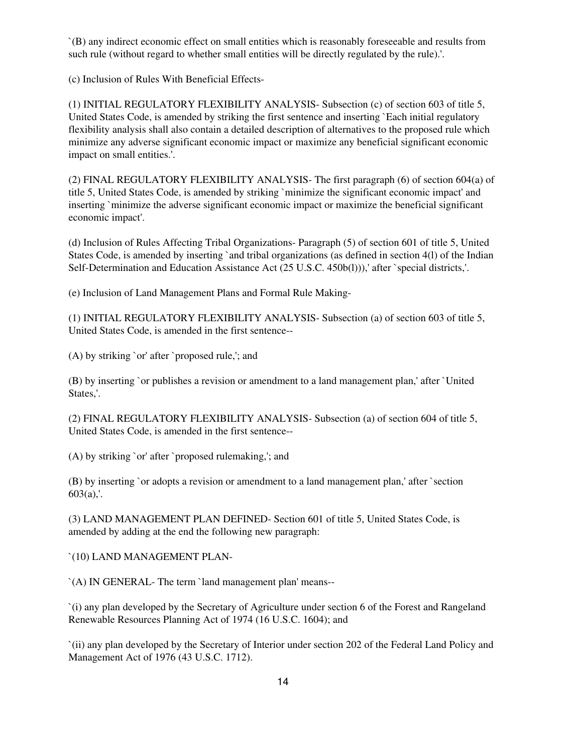`(B) any indirect economic effect on small entities which is reasonably foreseeable and results from such rule (without regard to whether small entities will be directly regulated by the rule).'.

(c) Inclusion of Rules With Beneficial Effects-

(1) INITIAL REGULATORY FLEXIBILITY ANALYSIS- Subsection (c) of section 603 of title 5, United States Code, is amended by striking the first sentence and inserting `Each initial regulatory flexibility analysis shall also contain a detailed description of alternatives to the proposed rule which minimize any adverse significant economic impact or maximize any beneficial significant economic impact on small entities.'.

(2) FINAL REGULATORY FLEXIBILITY ANALYSIS- The first paragraph (6) of section 604(a) of title 5, United States Code, is amended by striking `minimize the significant economic impact' and inserting `minimize the adverse significant economic impact or maximize the beneficial significant economic impact'.

(d) Inclusion of Rules Affecting Tribal Organizations- Paragraph (5) of section 601 of title 5, United States Code, is amended by inserting `and tribal organizations (as defined in section 4(1) of the Indian Self-Determination and Education Assistance Act (25 U.S.C. 450b(l))), after `special districts,'.

(e) Inclusion of Land Management Plans and Formal Rule Making-

(1) INITIAL REGULATORY FLEXIBILITY ANALYSIS- Subsection (a) of section 603 of title 5, United States Code, is amended in the first sentence--

(A) by striking `or' after `proposed rule,'; and

(B) by inserting `or publishes a revision or amendment to a land management plan,' after `United States,'.

(2) FINAL REGULATORY FLEXIBILITY ANALYSIS- Subsection (a) of section 604 of title 5, United States Code, is amended in the first sentence--

(A) by striking `or' after `proposed rulemaking,'; and

(B) by inserting `or adopts a revision or amendment to a land management plan,' after `section  $603(a)$ ,.

(3) LAND MANAGEMENT PLAN DEFINED- Section 601 of title 5, United States Code, is amended by adding at the end the following new paragraph:

`(10) LAND MANAGEMENT PLAN-

`(A) IN GENERAL- The term `land management plan' means--

`(i) any plan developed by the Secretary of Agriculture under section 6 of the Forest and Rangeland Renewable Resources Planning Act of 1974 (16 U.S.C. 1604); and

`(ii) any plan developed by the Secretary of Interior under section 202 of the Federal Land Policy and Management Act of 1976 (43 U.S.C. 1712).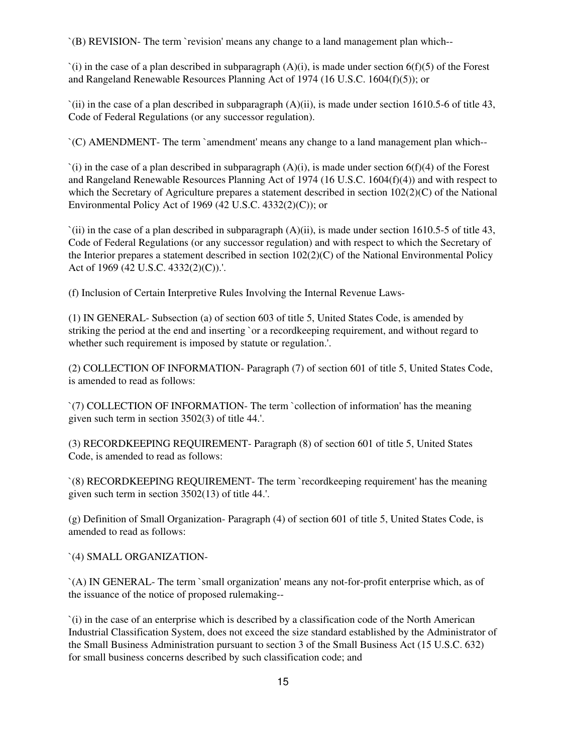`(B) REVISION- The term `revision' means any change to a land management plan which--

 $(i)$  in the case of a plan described in subparagraph  $(A)(i)$ , is made under section  $6(f)(5)$  of the Forest and Rangeland Renewable Resources Planning Act of 1974 (16 U.S.C. 1604(f)(5)); or

`(ii) in the case of a plan described in subparagraph (A)(ii), is made under section 1610.5-6 of title 43, Code of Federal Regulations (or any successor regulation).

`(C) AMENDMENT- The term `amendment' means any change to a land management plan which--

`(i) in the case of a plan described in subparagraph (A)(i), is made under section 6(f)(4) of the Forest and Rangeland Renewable Resources Planning Act of 1974 (16 U.S.C. 1604(f)(4)) and with respect to which the Secretary of Agriculture prepares a statement described in section  $102(2)(C)$  of the National Environmental Policy Act of 1969 (42 U.S.C. 4332(2)(C)); or

`(ii) in the case of a plan described in subparagraph (A)(ii), is made under section 1610.5-5 of title 43, Code of Federal Regulations (or any successor regulation) and with respect to which the Secretary of the Interior prepares a statement described in section 102(2)(C) of the National Environmental Policy Act of 1969 (42 U.S.C. 4332(2)(C)).'.

(f) Inclusion of Certain Interpretive Rules Involving the Internal Revenue Laws-

(1) IN GENERAL- Subsection (a) of section 603 of title 5, United States Code, is amended by striking the period at the end and inserting `or a recordkeeping requirement, and without regard to whether such requirement is imposed by statute or regulation.'.

(2) COLLECTION OF INFORMATION- Paragraph (7) of section 601 of title 5, United States Code, is amended to read as follows:

`(7) COLLECTION OF INFORMATION- The term `collection of information' has the meaning given such term in section 3502(3) of title 44.'.

(3) RECORDKEEPING REQUIREMENT- Paragraph (8) of section 601 of title 5, United States Code, is amended to read as follows:

`(8) RECORDKEEPING REQUIREMENT- The term `recordkeeping requirement' has the meaning given such term in section 3502(13) of title 44.'.

(g) Definition of Small Organization- Paragraph (4) of section 601 of title 5, United States Code, is amended to read as follows:

`(4) SMALL ORGANIZATION-

`(A) IN GENERAL- The term `small organization' means any not-for-profit enterprise which, as of the issuance of the notice of proposed rulemaking--

`(i) in the case of an enterprise which is described by a classification code of the North American Industrial Classification System, does not exceed the size standard established by the Administrator of the Small Business Administration pursuant to section 3 of the Small Business Act (15 U.S.C. 632) for small business concerns described by such classification code; and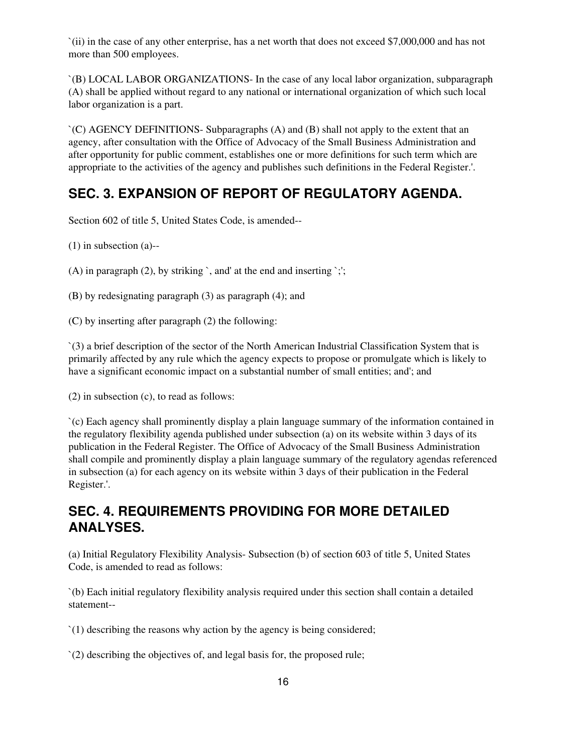`(ii) in the case of any other enterprise, has a net worth that does not exceed \$7,000,000 and has not more than 500 employees.

`(B) LOCAL LABOR ORGANIZATIONS- In the case of any local labor organization, subparagraph (A) shall be applied without regard to any national or international organization of which such local labor organization is a part.

`(C) AGENCY DEFINITIONS- Subparagraphs (A) and (B) shall not apply to the extent that an agency, after consultation with the Office of Advocacy of the Small Business Administration and after opportunity for public comment, establishes one or more definitions for such term which are appropriate to the activities of the agency and publishes such definitions in the Federal Register.'.

## **SEC. 3. EXPANSION OF REPORT OF REGULATORY AGENDA.**

Section 602 of title 5, United States Code, is amended--

(1) in subsection (a)--

(A) in paragraph (2), by striking `, and' at the end and inserting `;';

(B) by redesignating paragraph (3) as paragraph (4); and

(C) by inserting after paragraph (2) the following:

`(3) a brief description of the sector of the North American Industrial Classification System that is primarily affected by any rule which the agency expects to propose or promulgate which is likely to have a significant economic impact on a substantial number of small entities; and'; and

(2) in subsection (c), to read as follows:

`(c) Each agency shall prominently display a plain language summary of the information contained in the regulatory flexibility agenda published under subsection (a) on its website within 3 days of its publication in the Federal Register. The Office of Advocacy of the Small Business Administration shall compile and prominently display a plain language summary of the regulatory agendas referenced in subsection (a) for each agency on its website within 3 days of their publication in the Federal Register.'.

## **SEC. 4. REQUIREMENTS PROVIDING FOR MORE DETAILED ANALYSES.**

(a) Initial Regulatory Flexibility Analysis- Subsection (b) of section 603 of title 5, United States Code, is amended to read as follows:

`(b) Each initial regulatory flexibility analysis required under this section shall contain a detailed statement--

`(1) describing the reasons why action by the agency is being considered;

`(2) describing the objectives of, and legal basis for, the proposed rule;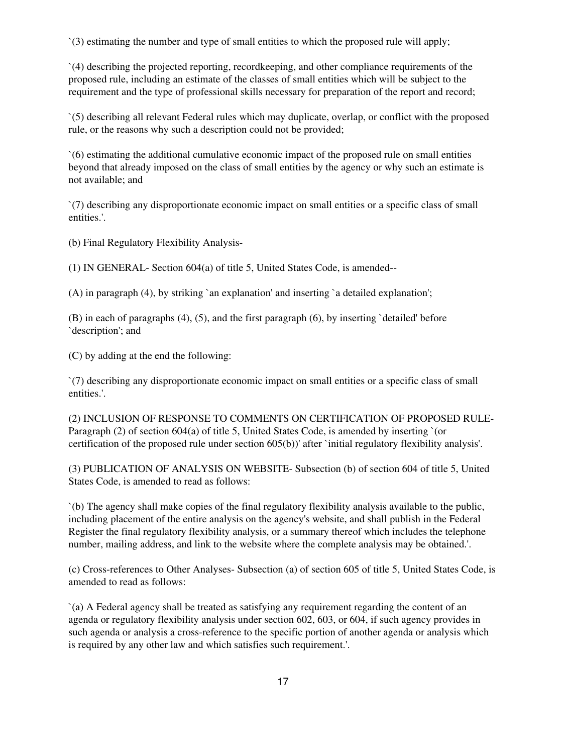`(3) estimating the number and type of small entities to which the proposed rule will apply;

`(4) describing the projected reporting, recordkeeping, and other compliance requirements of the proposed rule, including an estimate of the classes of small entities which will be subject to the requirement and the type of professional skills necessary for preparation of the report and record;

`(5) describing all relevant Federal rules which may duplicate, overlap, or conflict with the proposed rule, or the reasons why such a description could not be provided;

`(6) estimating the additional cumulative economic impact of the proposed rule on small entities beyond that already imposed on the class of small entities by the agency or why such an estimate is not available; and

`(7) describing any disproportionate economic impact on small entities or a specific class of small entities.'.

(b) Final Regulatory Flexibility Analysis-

(1) IN GENERAL- Section 604(a) of title 5, United States Code, is amended--

(A) in paragraph (4), by striking `an explanation' and inserting `a detailed explanation';

(B) in each of paragraphs (4), (5), and the first paragraph (6), by inserting `detailed' before `description'; and

(C) by adding at the end the following:

`(7) describing any disproportionate economic impact on small entities or a specific class of small entities.'.

(2) INCLUSION OF RESPONSE TO COMMENTS ON CERTIFICATION OF PROPOSED RULE-Paragraph (2) of section 604(a) of title 5, United States Code, is amended by inserting `(or certification of the proposed rule under section 605(b))' after `initial regulatory flexibility analysis'.

(3) PUBLICATION OF ANALYSIS ON WEBSITE- Subsection (b) of section 604 of title 5, United States Code, is amended to read as follows:

`(b) The agency shall make copies of the final regulatory flexibility analysis available to the public, including placement of the entire analysis on the agency's website, and shall publish in the Federal Register the final regulatory flexibility analysis, or a summary thereof which includes the telephone number, mailing address, and link to the website where the complete analysis may be obtained.'.

(c) Cross-references to Other Analyses- Subsection (a) of section 605 of title 5, United States Code, is amended to read as follows:

`(a) A Federal agency shall be treated as satisfying any requirement regarding the content of an agenda or regulatory flexibility analysis under section 602, 603, or 604, if such agency provides in such agenda or analysis a cross-reference to the specific portion of another agenda or analysis which is required by any other law and which satisfies such requirement.'.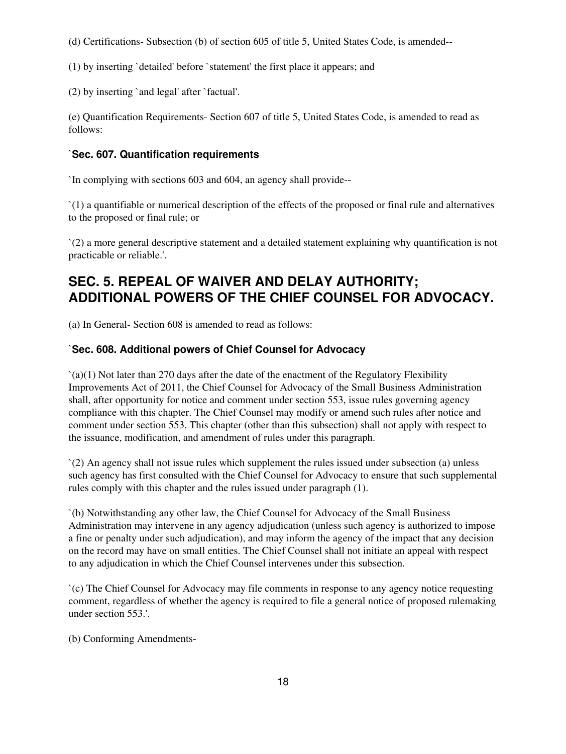(d) Certifications- Subsection (b) of section 605 of title 5, United States Code, is amended--

(1) by inserting `detailed' before `statement' the first place it appears; and

(2) by inserting `and legal' after `factual'.

(e) Quantification Requirements- Section 607 of title 5, United States Code, is amended to read as follows:

### **`Sec. 607. Quantification requirements**

`In complying with sections 603 and 604, an agency shall provide--

`(1) a quantifiable or numerical description of the effects of the proposed or final rule and alternatives to the proposed or final rule; or

`(2) a more general descriptive statement and a detailed statement explaining why quantification is not practicable or reliable.'.

## **SEC. 5. REPEAL OF WAIVER AND DELAY AUTHORITY; ADDITIONAL POWERS OF THE CHIEF COUNSEL FOR ADVOCACY.**

(a) In General- Section 608 is amended to read as follows:

### **`Sec. 608. Additional powers of Chief Counsel for Advocacy**

 $\Gamma$ (a)(1) Not later than 270 days after the date of the enactment of the Regulatory Flexibility Improvements Act of 2011, the Chief Counsel for Advocacy of the Small Business Administration shall, after opportunity for notice and comment under section 553, issue rules governing agency compliance with this chapter. The Chief Counsel may modify or amend such rules after notice and comment under section 553. This chapter (other than this subsection) shall not apply with respect to the issuance, modification, and amendment of rules under this paragraph.

`(2) An agency shall not issue rules which supplement the rules issued under subsection (a) unless such agency has first consulted with the Chief Counsel for Advocacy to ensure that such supplemental rules comply with this chapter and the rules issued under paragraph (1).

`(b) Notwithstanding any other law, the Chief Counsel for Advocacy of the Small Business Administration may intervene in any agency adjudication (unless such agency is authorized to impose a fine or penalty under such adjudication), and may inform the agency of the impact that any decision on the record may have on small entities. The Chief Counsel shall not initiate an appeal with respect to any adjudication in which the Chief Counsel intervenes under this subsection.

`(c) The Chief Counsel for Advocacy may file comments in response to any agency notice requesting comment, regardless of whether the agency is required to file a general notice of proposed rulemaking under section 553.'.

(b) Conforming Amendments-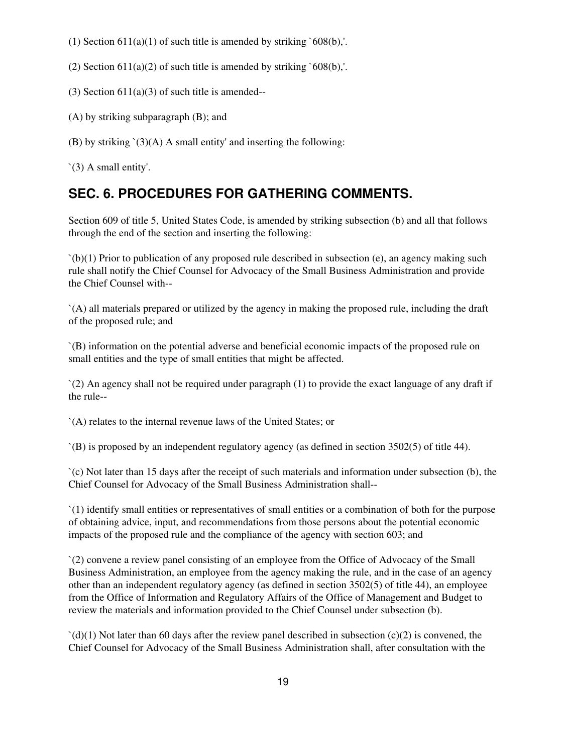- (1) Section  $611(a)(1)$  of such title is amended by striking `608(b),'.
- (2) Section  $611(a)(2)$  of such title is amended by striking `608(b),'.
- (3) Section  $611(a)(3)$  of such title is amended--
- (A) by striking subparagraph (B); and
- (B) by striking  $\hat{O}(A)$  A small entity' and inserting the following:

`(3) A small entity'.

## **SEC. 6. PROCEDURES FOR GATHERING COMMENTS.**

Section 609 of title 5, United States Code, is amended by striking subsection (b) and all that follows through the end of the section and inserting the following:

 $(b)(1)$  Prior to publication of any proposed rule described in subsection (e), an agency making such rule shall notify the Chief Counsel for Advocacy of the Small Business Administration and provide the Chief Counsel with--

`(A) all materials prepared or utilized by the agency in making the proposed rule, including the draft of the proposed rule; and

`(B) information on the potential adverse and beneficial economic impacts of the proposed rule on small entities and the type of small entities that might be affected.

`(2) An agency shall not be required under paragraph (1) to provide the exact language of any draft if the rule--

`(A) relates to the internal revenue laws of the United States; or

`(B) is proposed by an independent regulatory agency (as defined in section 3502(5) of title 44).

`(c) Not later than 15 days after the receipt of such materials and information under subsection (b), the Chief Counsel for Advocacy of the Small Business Administration shall--

`(1) identify small entities or representatives of small entities or a combination of both for the purpose of obtaining advice, input, and recommendations from those persons about the potential economic impacts of the proposed rule and the compliance of the agency with section 603; and

`(2) convene a review panel consisting of an employee from the Office of Advocacy of the Small Business Administration, an employee from the agency making the rule, and in the case of an agency other than an independent regulatory agency (as defined in section 3502(5) of title 44), an employee from the Office of Information and Regulatory Affairs of the Office of Management and Budget to review the materials and information provided to the Chief Counsel under subsection (b).

 $\dot{\mathcal{C}}(d)(1)$  Not later than 60 days after the review panel described in subsection  $(c)(2)$  is convened, the Chief Counsel for Advocacy of the Small Business Administration shall, after consultation with the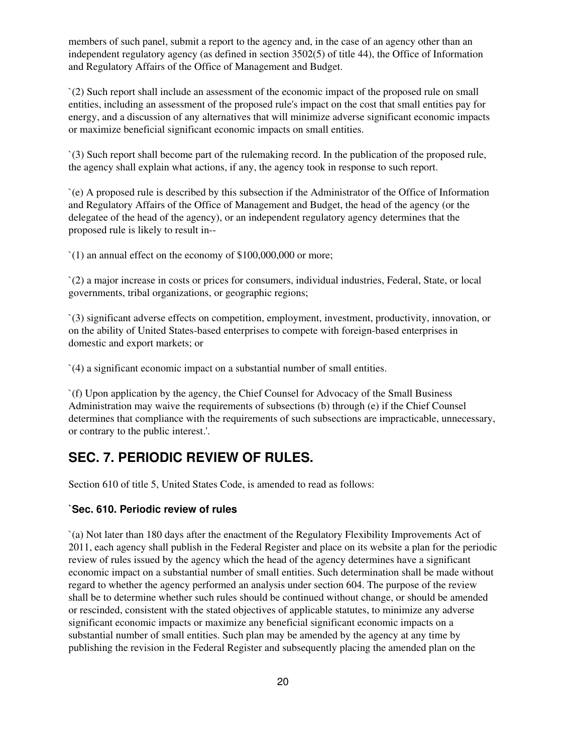members of such panel, submit a report to the agency and, in the case of an agency other than an independent regulatory agency (as defined in section 3502(5) of title 44), the Office of Information and Regulatory Affairs of the Office of Management and Budget.

`(2) Such report shall include an assessment of the economic impact of the proposed rule on small entities, including an assessment of the proposed rule's impact on the cost that small entities pay for energy, and a discussion of any alternatives that will minimize adverse significant economic impacts or maximize beneficial significant economic impacts on small entities.

`(3) Such report shall become part of the rulemaking record. In the publication of the proposed rule, the agency shall explain what actions, if any, the agency took in response to such report.

`(e) A proposed rule is described by this subsection if the Administrator of the Office of Information and Regulatory Affairs of the Office of Management and Budget, the head of the agency (or the delegatee of the head of the agency), or an independent regulatory agency determines that the proposed rule is likely to result in--

`(1) an annual effect on the economy of \$100,000,000 or more;

`(2) a major increase in costs or prices for consumers, individual industries, Federal, State, or local governments, tribal organizations, or geographic regions;

`(3) significant adverse effects on competition, employment, investment, productivity, innovation, or on the ability of United States-based enterprises to compete with foreign-based enterprises in domestic and export markets; or

`(4) a significant economic impact on a substantial number of small entities.

`(f) Upon application by the agency, the Chief Counsel for Advocacy of the Small Business Administration may waive the requirements of subsections (b) through (e) if the Chief Counsel determines that compliance with the requirements of such subsections are impracticable, unnecessary, or contrary to the public interest.'.

## **SEC. 7. PERIODIC REVIEW OF RULES.**

Section 610 of title 5, United States Code, is amended to read as follows:

### **`Sec. 610. Periodic review of rules**

`(a) Not later than 180 days after the enactment of the Regulatory Flexibility Improvements Act of 2011, each agency shall publish in the Federal Register and place on its website a plan for the periodic review of rules issued by the agency which the head of the agency determines have a significant economic impact on a substantial number of small entities. Such determination shall be made without regard to whether the agency performed an analysis under section 604. The purpose of the review shall be to determine whether such rules should be continued without change, or should be amended or rescinded, consistent with the stated objectives of applicable statutes, to minimize any adverse significant economic impacts or maximize any beneficial significant economic impacts on a substantial number of small entities. Such plan may be amended by the agency at any time by publishing the revision in the Federal Register and subsequently placing the amended plan on the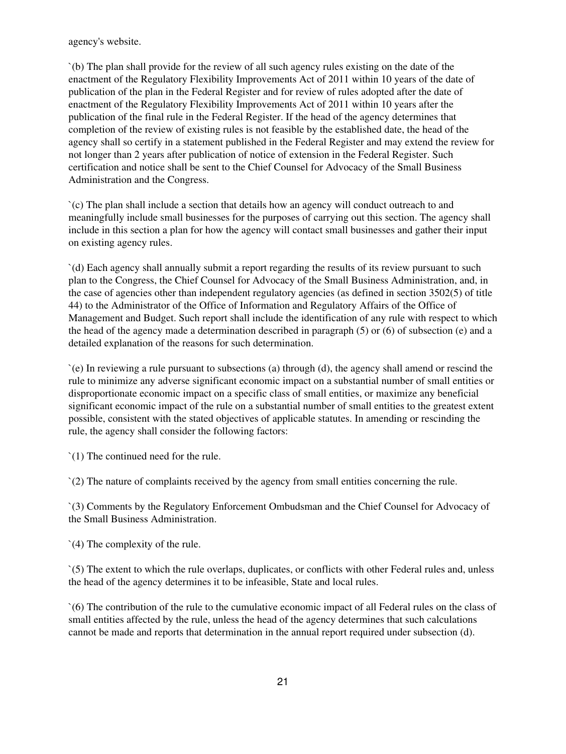agency's website.

`(b) The plan shall provide for the review of all such agency rules existing on the date of the enactment of the Regulatory Flexibility Improvements Act of 2011 within 10 years of the date of publication of the plan in the Federal Register and for review of rules adopted after the date of enactment of the Regulatory Flexibility Improvements Act of 2011 within 10 years after the publication of the final rule in the Federal Register. If the head of the agency determines that completion of the review of existing rules is not feasible by the established date, the head of the agency shall so certify in a statement published in the Federal Register and may extend the review for not longer than 2 years after publication of notice of extension in the Federal Register. Such certification and notice shall be sent to the Chief Counsel for Advocacy of the Small Business Administration and the Congress.

`(c) The plan shall include a section that details how an agency will conduct outreach to and meaningfully include small businesses for the purposes of carrying out this section. The agency shall include in this section a plan for how the agency will contact small businesses and gather their input on existing agency rules.

`(d) Each agency shall annually submit a report regarding the results of its review pursuant to such plan to the Congress, the Chief Counsel for Advocacy of the Small Business Administration, and, in the case of agencies other than independent regulatory agencies (as defined in section 3502(5) of title 44) to the Administrator of the Office of Information and Regulatory Affairs of the Office of Management and Budget. Such report shall include the identification of any rule with respect to which the head of the agency made a determination described in paragraph (5) or (6) of subsection (e) and a detailed explanation of the reasons for such determination.

`(e) In reviewing a rule pursuant to subsections (a) through (d), the agency shall amend or rescind the rule to minimize any adverse significant economic impact on a substantial number of small entities or disproportionate economic impact on a specific class of small entities, or maximize any beneficial significant economic impact of the rule on a substantial number of small entities to the greatest extent possible, consistent with the stated objectives of applicable statutes. In amending or rescinding the rule, the agency shall consider the following factors:

`(1) The continued need for the rule.

`(2) The nature of complaints received by the agency from small entities concerning the rule.

`(3) Comments by the Regulatory Enforcement Ombudsman and the Chief Counsel for Advocacy of the Small Business Administration.

`(4) The complexity of the rule.

`(5) The extent to which the rule overlaps, duplicates, or conflicts with other Federal rules and, unless the head of the agency determines it to be infeasible, State and local rules.

`(6) The contribution of the rule to the cumulative economic impact of all Federal rules on the class of small entities affected by the rule, unless the head of the agency determines that such calculations cannot be made and reports that determination in the annual report required under subsection (d).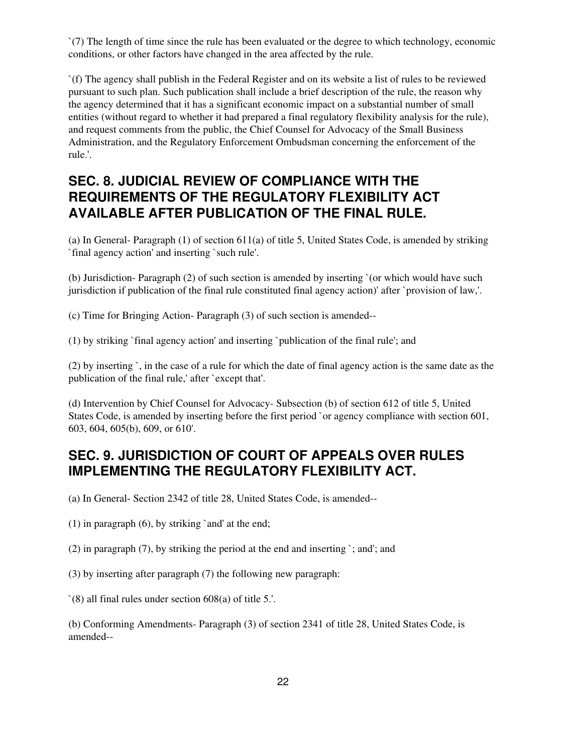`(7) The length of time since the rule has been evaluated or the degree to which technology, economic conditions, or other factors have changed in the area affected by the rule.

`(f) The agency shall publish in the Federal Register and on its website a list of rules to be reviewed pursuant to such plan. Such publication shall include a brief description of the rule, the reason why the agency determined that it has a significant economic impact on a substantial number of small entities (without regard to whether it had prepared a final regulatory flexibility analysis for the rule), and request comments from the public, the Chief Counsel for Advocacy of the Small Business Administration, and the Regulatory Enforcement Ombudsman concerning the enforcement of the rule.'.

## **SEC. 8. JUDICIAL REVIEW OF COMPLIANCE WITH THE REQUIREMENTS OF THE REGULATORY FLEXIBILITY ACT AVAILABLE AFTER PUBLICATION OF THE FINAL RULE.**

(a) In General- Paragraph  $(1)$  of section 611(a) of title 5, United States Code, is amended by striking `final agency action' and inserting `such rule'.

(b) Jurisdiction- Paragraph (2) of such section is amended by inserting `(or which would have such jurisdiction if publication of the final rule constituted final agency action)' after `provision of law,'.

(c) Time for Bringing Action- Paragraph (3) of such section is amended--

(1) by striking `final agency action' and inserting `publication of the final rule'; and

(2) by inserting `, in the case of a rule for which the date of final agency action is the same date as the publication of the final rule,' after `except that'.

(d) Intervention by Chief Counsel for Advocacy- Subsection (b) of section 612 of title 5, United States Code, is amended by inserting before the first period `or agency compliance with section 601, 603, 604, 605(b), 609, or 610'.

## **SEC. 9. JURISDICTION OF COURT OF APPEALS OVER RULES IMPLEMENTING THE REGULATORY FLEXIBILITY ACT.**

(a) In General- Section 2342 of title 28, United States Code, is amended--

(1) in paragraph (6), by striking `and' at the end;

(2) in paragraph (7), by striking the period at the end and inserting `; and'; and

(3) by inserting after paragraph (7) the following new paragraph:

`(8) all final rules under section 608(a) of title 5.'.

(b) Conforming Amendments- Paragraph (3) of section 2341 of title 28, United States Code, is amended--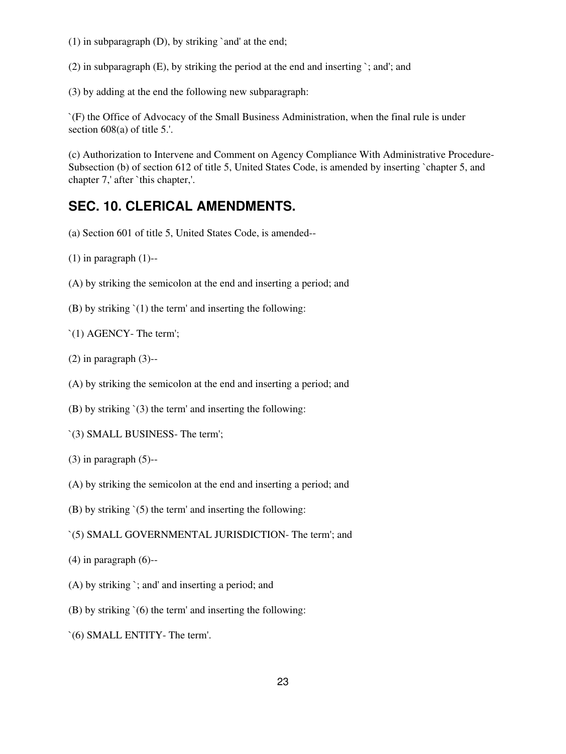(1) in subparagraph (D), by striking `and' at the end;

(2) in subparagraph (E), by striking the period at the end and inserting `; and'; and

(3) by adding at the end the following new subparagraph:

`(F) the Office of Advocacy of the Small Business Administration, when the final rule is under section 608(a) of title 5.'.

(c) Authorization to Intervene and Comment on Agency Compliance With Administrative Procedure-Subsection (b) of section 612 of title 5, United States Code, is amended by inserting `chapter 5, and chapter 7,' after `this chapter,'.

### **SEC. 10. CLERICAL AMENDMENTS.**

- (a) Section 601 of title 5, United States Code, is amended--
- $(1)$  in paragraph  $(1)$ --
- (A) by striking the semicolon at the end and inserting a period; and
- (B) by striking `(1) the term' and inserting the following:
- `(1) AGENCY- The term';
- $(2)$  in paragraph  $(3)$ --
- (A) by striking the semicolon at the end and inserting a period; and
- (B) by striking `(3) the term' and inserting the following:
- `(3) SMALL BUSINESS- The term';
- $(3)$  in paragraph  $(5)$ --
- (A) by striking the semicolon at the end and inserting a period; and
- (B) by striking `(5) the term' and inserting the following:
- `(5) SMALL GOVERNMENTAL JURISDICTION- The term'; and
- $(4)$  in paragraph  $(6)$ --
- (A) by striking `; and' and inserting a period; and
- (B) by striking `(6) the term' and inserting the following:
- `(6) SMALL ENTITY- The term'.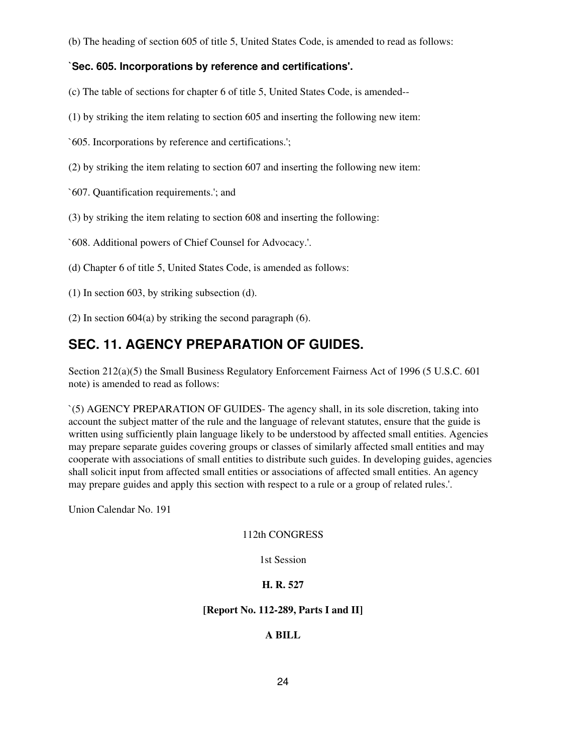(b) The heading of section 605 of title 5, United States Code, is amended to read as follows:

### **`Sec. 605. Incorporations by reference and certifications'.**

(c) The table of sections for chapter 6 of title 5, United States Code, is amended--

- (1) by striking the item relating to section 605 and inserting the following new item:
- `605. Incorporations by reference and certifications.';
- (2) by striking the item relating to section 607 and inserting the following new item:
- `607. Quantification requirements.'; and
- (3) by striking the item relating to section 608 and inserting the following:
- `608. Additional powers of Chief Counsel for Advocacy.'.
- (d) Chapter 6 of title 5, United States Code, is amended as follows:
- (1) In section 603, by striking subsection (d).
- (2) In section 604(a) by striking the second paragraph (6).

# **SEC. 11. AGENCY PREPARATION OF GUIDES.**

Section 212(a)(5) the Small Business Regulatory Enforcement Fairness Act of 1996 (5 U.S.C. 601 note) is amended to read as follows:

`(5) AGENCY PREPARATION OF GUIDES- The agency shall, in its sole discretion, taking into account the subject matter of the rule and the language of relevant statutes, ensure that the guide is written using sufficiently plain language likely to be understood by affected small entities. Agencies may prepare separate guides covering groups or classes of similarly affected small entities and may cooperate with associations of small entities to distribute such guides. In developing guides, agencies shall solicit input from affected small entities or associations of affected small entities. An agency may prepare guides and apply this section with respect to a rule or a group of related rules.'.

Union Calendar No. 191

#### 112th CONGRESS

1st Session

#### **H. R. 527**

### **[Report No. 112-289, Parts I and II]**

### **A BILL**